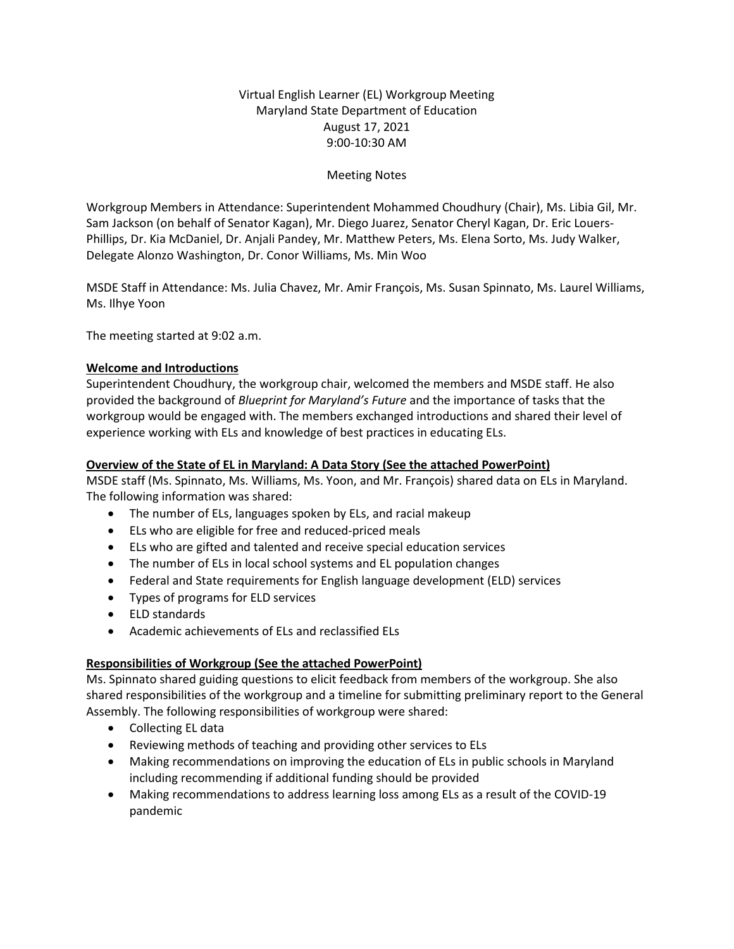# Virtual English Learner (EL) Workgroup Meeting Maryland State Department of Education August 17, 2021 9:00-10:30 AM

## Meeting Notes

Workgroup Members in Attendance: Superintendent Mohammed Choudhury (Chair), Ms. Libia Gil, Mr. Sam Jackson (on behalf of Senator Kagan), Mr. Diego Juarez, Senator Cheryl Kagan, Dr. Eric Louers-Phillips, Dr. Kia McDaniel, Dr. Anjali Pandey, Mr. Matthew Peters, Ms. Elena Sorto, Ms. Judy Walker, Delegate Alonzo Washington, Dr. Conor Williams, Ms. Min Woo

MSDE Staff in Attendance: Ms. Julia Chavez, Mr. Amir François, Ms. Susan Spinnato, Ms. Laurel Williams, Ms. Ilhye Yoon

The meeting started at 9:02 a.m.

#### **Welcome and Introductions**

Superintendent Choudhury, the workgroup chair, welcomed the members and MSDE staff. He also provided the background of *Blueprint for Maryland's Future* and the importance of tasks that the workgroup would be engaged with. The members exchanged introductions and shared their level of experience working with ELs and knowledge of best practices in educating ELs.

#### **Overview of the State of EL in Maryland: A Data Story (See the attached PowerPoint)**

MSDE staff (Ms. Spinnato, Ms. Williams, Ms. Yoon, and Mr. François) shared data on ELs in Maryland. The following information was shared:

- The number of ELs, languages spoken by ELs, and racial makeup
- ELs who are eligible for free and reduced-priced meals
- ELs who are gifted and talented and receive special education services
- The number of ELs in local school systems and EL population changes
- Federal and State requirements for English language development (ELD) services
- Types of programs for ELD services
- ELD standards
- Academic achievements of ELs and reclassified ELs

### **Responsibilities of Workgroup (See the attached PowerPoint)**

Ms. Spinnato shared guiding questions to elicit feedback from members of the workgroup. She also shared responsibilities of the workgroup and a timeline for submitting preliminary report to the General Assembly. The following responsibilities of workgroup were shared:

- Collecting EL data
- Reviewing methods of teaching and providing other services to ELs
- Making recommendations on improving the education of ELs in public schools in Maryland including recommending if additional funding should be provided
- Making recommendations to address learning loss among ELs as a result of the COVID-19 pandemic